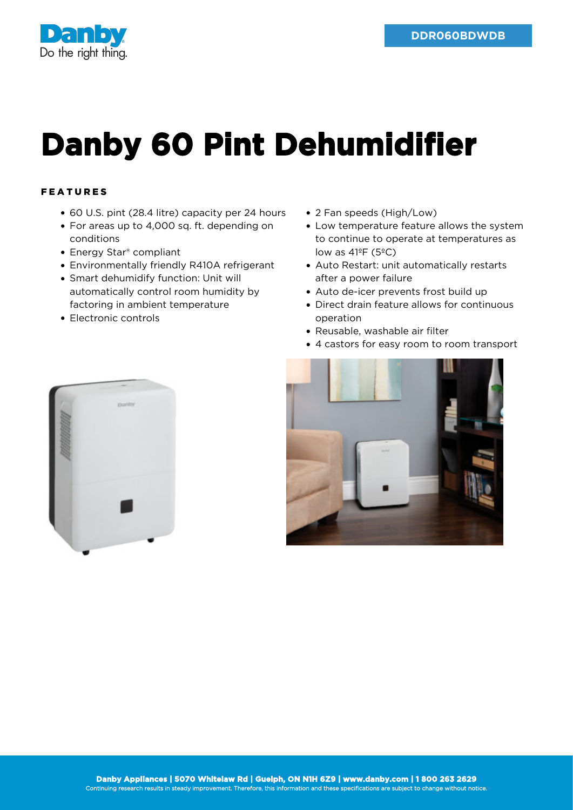

## **Danby 60 Pint Dehumidifier**

## FEATURES

- 60 U.S. pint (28.4 litre) capacity per 24 hours
- For areas up to 4,000 sq. ft. depending on conditions
- Energy Star® compliant
- Environmentally friendly R410A refrigerant
- Smart dehumidify function: Unit will automatically control room humidity by factoring in ambient temperature
- Electronic controls
- 2 Fan speeds (High/Low)
- Low temperature feature allows the system to continue to operate at temperatures as low as  $41^{\circ}$ F (5 $^{\circ}$ C)
- Auto Restart: unit automatically restarts after a power failure
- Auto de-icer prevents frost build up
- Direct drain feature allows for continuous operation
- Reusable, washable air filter
- 4 castors for easy room to room transport